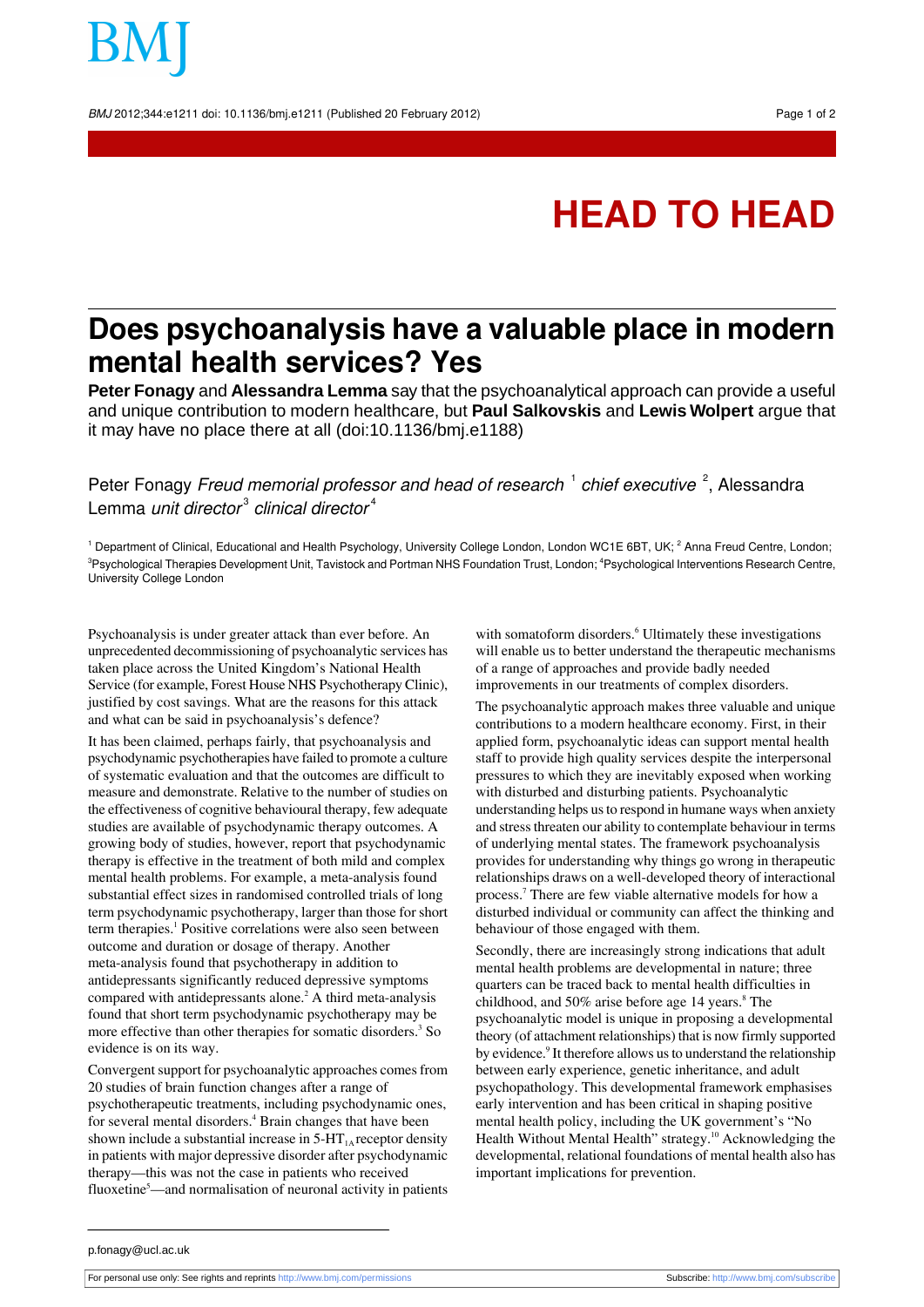BMJ 2012;344:e1211 doi: 10.1136/bmj.e1211 (Published 20 February 2012) Page 1 of 2

## **HEAD TO HEAD**

## **Does psychoanalysis have a valuable place in modern mental health services? Yes**

**Peter Fonagy** and **Alessandra Lemma** say that the psychoanalytical approach can provide a useful and unique contribution to modern healthcare, but **Paul Salkovskis** and **Lewis Wolpert** argue that it may have no place there at all (doi:10.1136/bmj.e1188)

Peter Fonagy *Freud memorial professor and head of research*  $^1$  *chief executive*  $^2$ , Alessandra Lemma *unit director* $^{\text{3}}$  *clinical director* $^{\text{4}}$ 

<sup>1</sup> Department of Clinical, Educational and Health Psychology, University College London, London WC1E 6BT, UK; <sup>2</sup> Anna Freud Centre, London; <sup>3</sup>Psychological Therapies Development Unit, Tavistock and Portman NHS Foundation Trust, London; <sup>4</sup>Psychological Interventions Research Centre, University College London

Psychoanalysis is under greater attack than ever before. An unprecedented decommissioning of psychoanalytic services has taken place across the United Kingdom's National Health Service (for example, Forest House NHS Psychotherapy Clinic), justified by cost savings. What are the reasons for this attack and what can be said in psychoanalysis's defence?

It has been claimed, perhaps fairly, that psychoanalysis and psychodynamic psychotherapies have failed to promote a culture of systematic evaluation and that the outcomes are difficult to measure and demonstrate. Relative to the number of studies on the effectiveness of cognitive behavioural therapy, few adequate studies are available of psychodynamic therapy outcomes. A growing body of studies, however, report that psychodynamic therapy is effective in the treatment of both mild and complex mental health problems. For example, a meta-analysis found substantial effect sizes in randomised controlled trials of long term psychodynamic psychotherapy, larger than those for short term therapies.<sup>1</sup> Positive correlations were also seen between outcome and duration or dosage of therapy. Another meta-analysis found that psychotherapy in addition to antidepressants significantly reduced depressive symptoms compared with antidepressants alone.<sup>2</sup> A third meta-analysis found that short term psychodynamic psychotherapy may be more effective than other therapies for somatic disorders.<sup>3</sup> So evidence is on its way.

Convergent support for psychoanalytic approaches comes from 20 studies of brain function changes after a range of psychotherapeutic treatments, including psychodynamic ones, for several mental disorders.<sup>4</sup> Brain changes that have been shown include a substantial increase in  $5-HT<sub>1A</sub>$  receptor density in patients with major depressive disorder after psychodynamic therapy—this was not the case in patients who received fluoxetine<sup>5</sup>—and normalisation of neuronal activity in patients with somatoform disorders.<sup>6</sup> Ultimately these investigations will enable us to better understand the therapeutic mechanisms of a range of approaches and provide badly needed improvements in our treatments of complex disorders.

The psychoanalytic approach makes three valuable and unique contributions to a modern healthcare economy. First, in their applied form, psychoanalytic ideas can support mental health staff to provide high quality services despite the interpersonal pressures to which they are inevitably exposed when working with disturbed and disturbing patients. Psychoanalytic understanding helps us to respond in humane ways when anxiety and stressthreaten our ability to contemplate behaviour in terms of underlying mental states. The framework psychoanalysis provides for understanding why things go wrong in therapeutic relationships draws on a well-developed theory of interactional process.<sup>7</sup> There are few viable alternative models for how a disturbed individual or community can affect the thinking and behaviour of those engaged with them.

Secondly, there are increasingly strong indications that adult mental health problems are developmental in nature; three quarters can be traced back to mental health difficulties in childhood, and  $50\%$  arise before age 14 years. $8$  The psychoanalytic model is unique in proposing a developmental theory (of attachment relationships) that is now firmly supported by evidence.<sup>9</sup> It therefore allows us to understand the relationship between early experience, genetic inheritance, and adult psychopathology. This developmental framework emphasises early intervention and has been critical in shaping positive mental health policy, including the UK government's "No Health Without Mental Health" strategy.<sup>10</sup> Acknowledging the developmental, relational foundations of mental health also has important implications for prevention.

p.fonagy@ucl.ac.uk

For personal use only: See rights and reprints<http://www.bmj.com/permissions> Subscribe: <http://www.bmj.com/subscribe>